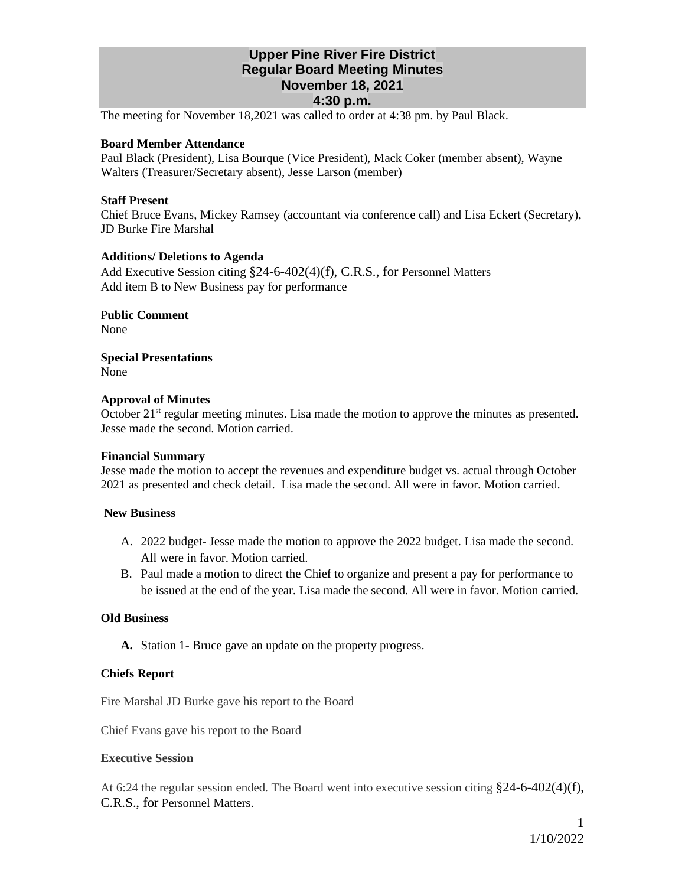## **Upper Pine River Fire District Regular Board Meeting Minutes November 18, 2021 4:30 p.m.**

The meeting for November 18,2021 was called to order at 4:38 pm. by Paul Black.

## **Board Member Attendance**

Paul Black (President), Lisa Bourque (Vice President), Mack Coker (member absent), Wayne Walters (Treasurer/Secretary absent), Jesse Larson (member)

## **Staff Present**

Chief Bruce Evans, Mickey Ramsey (accountant via conference call) and Lisa Eckert (Secretary), JD Burke Fire Marshal

## **Additions/ Deletions to Agenda**

Add Executive Session citing §24-6-402(4)(f), C.R.S., for Personnel Matters Add item B to New Business pay for performance

P**ublic Comment** None

**Special Presentations** None

## **Approval of Minutes**

October  $21<sup>st</sup>$  regular meeting minutes. Lisa made the motion to approve the minutes as presented. Jesse made the second. Motion carried.

#### **Financial Summary**

Jesse made the motion to accept the revenues and expenditure budget vs. actual through October 2021 as presented and check detail. Lisa made the second. All were in favor. Motion carried.

#### **New Business**

- A. 2022 budget- Jesse made the motion to approve the 2022 budget. Lisa made the second. All were in favor. Motion carried.
- B. Paul made a motion to direct the Chief to organize and present a pay for performance to be issued at the end of the year. Lisa made the second. All were in favor. Motion carried.

## **Old Business**

**A.** Station 1- Bruce gave an update on the property progress.

## **Chiefs Report**

Fire Marshal JD Burke gave his report to the Board

Chief Evans gave his report to the Board

## **Executive Session**

At 6:24 the regular session ended. The Board went into executive session citing  $\S 24-6-402(4)(f)$ , C.R.S., for Personnel Matters.